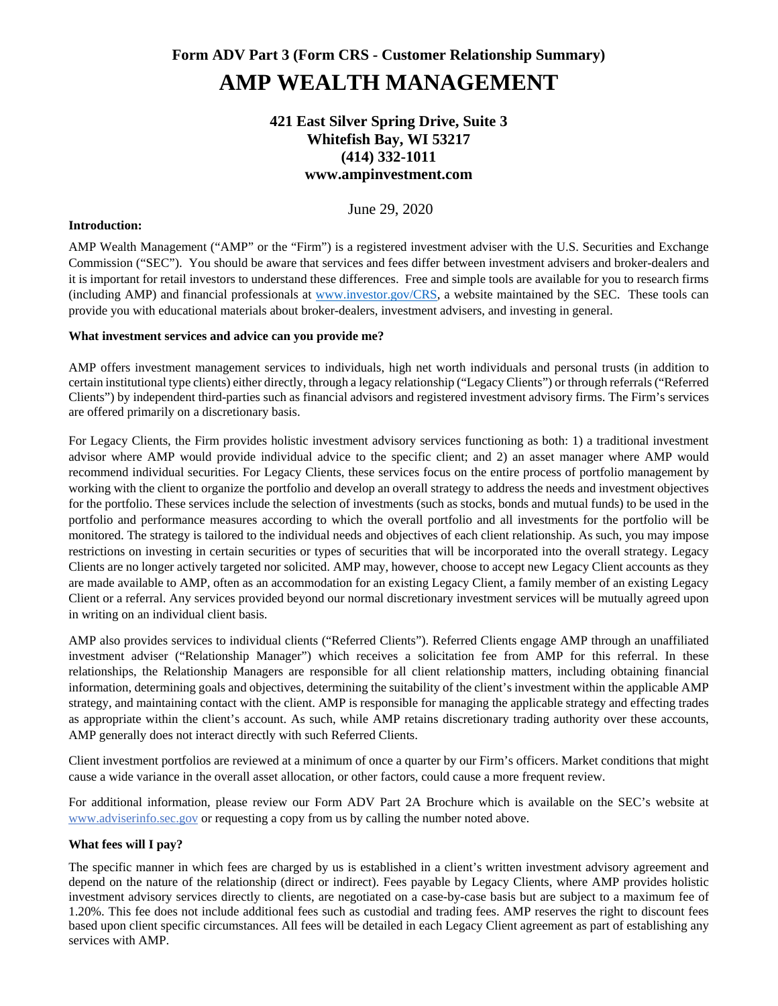# **Form ADV Part 3 (Form CRS - Customer Relationship Summary) AMP WEALTH MANAGEMENT**

# **421 East Silver Spring Drive, Suite 3 Whitefish Bay, WI 53217 (414) 332-1011 www.ampinvestment.com**

June 29, 2020

### **Introduction:**

AMP Wealth Management ("AMP" or the "Firm") is a registered investment adviser with the U.S. Securities and Exchange Commission ("SEC"). You should be aware that services and fees differ between investment advisers and broker-dealers and it is important for retail investors to understand these differences. Free and simple tools are available for you to research firms (including AMP) and financial professionals at www.investor.gov/CRS, a website maintained by the SEC. These tools can provide you with educational materials about broker-dealers, investment advisers, and investing in general.

# **What investment services and advice can you provide me?**

AMP offers investment management services to individuals, high net worth individuals and personal trusts (in addition to certain institutional type clients) either directly, through a legacy relationship ("Legacy Clients") or through referrals ("Referred Clients") by independent third-parties such as financial advisors and registered investment advisory firms. The Firm's services are offered primarily on a discretionary basis.

For Legacy Clients, the Firm provides holistic investment advisory services functioning as both: 1) a traditional investment advisor where AMP would provide individual advice to the specific client; and 2) an asset manager where AMP would recommend individual securities. For Legacy Clients, these services focus on the entire process of portfolio management by working with the client to organize the portfolio and develop an overall strategy to address the needs and investment objectives for the portfolio. These services include the selection of investments (such as stocks, bonds and mutual funds) to be used in the portfolio and performance measures according to which the overall portfolio and all investments for the portfolio will be monitored. The strategy is tailored to the individual needs and objectives of each client relationship. As such, you may impose restrictions on investing in certain securities or types of securities that will be incorporated into the overall strategy. Legacy Clients are no longer actively targeted nor solicited. AMP may, however, choose to accept new Legacy Client accounts as they are made available to AMP, often as an accommodation for an existing Legacy Client, a family member of an existing Legacy Client or a referral. Any services provided beyond our normal discretionary investment services will be mutually agreed upon in writing on an individual client basis.

AMP also provides services to individual clients ("Referred Clients"). Referred Clients engage AMP through an unaffiliated investment adviser ("Relationship Manager") which receives a solicitation fee from AMP for this referral. In these relationships, the Relationship Managers are responsible for all client relationship matters, including obtaining financial information, determining goals and objectives, determining the suitability of the client's investment within the applicable AMP strategy, and maintaining contact with the client. AMP is responsible for managing the applicable strategy and effecting trades as appropriate within the client's account. As such, while AMP retains discretionary trading authority over these accounts, AMP generally does not interact directly with such Referred Clients.

Client investment portfolios are reviewed at a minimum of once a quarter by our Firm's officers. Market conditions that might cause a wide variance in the overall asset allocation, or other factors, could cause a more frequent review.

For additional information, please review our Form ADV Part 2A Brochure which is available on the SEC's website at www.adviserinfo.sec.gov or requesting a copy from us by calling the number noted above.

# **What fees will I pay?**

The specific manner in which fees are charged by us is established in a client's written investment advisory agreement and depend on the nature of the relationship (direct or indirect). Fees payable by Legacy Clients, where AMP provides holistic investment advisory services directly to clients, are negotiated on a case-by-case basis but are subject to a maximum fee of 1.20%. This fee does not include additional fees such as custodial and trading fees. AMP reserves the right to discount fees based upon client specific circumstances. All fees will be detailed in each Legacy Client agreement as part of establishing any services with AMP.